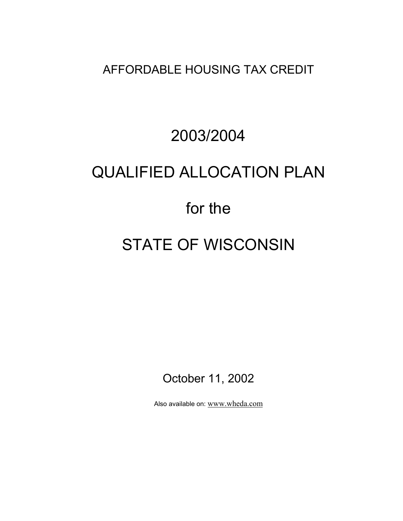AFFORDABLE HOUSING TAX CREDIT

# 2003/2004 QUALIFIED ALLOCATION PLAN for the

# STATE OF WISCONSIN

October 11, 2002

Also available on: www.wheda.com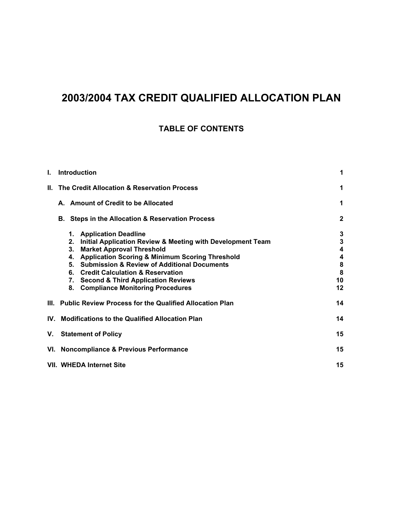## **2003/2004 TAX CREDIT QUALIFIED ALLOCATION PLAN**

### **TABLE OF CONTENTS**

| I. | <b>Introduction</b>                                                                                                                                                                                                                                                                                                                                                                          | 1                                      |
|----|----------------------------------------------------------------------------------------------------------------------------------------------------------------------------------------------------------------------------------------------------------------------------------------------------------------------------------------------------------------------------------------------|----------------------------------------|
|    | II. The Credit Allocation & Reservation Process                                                                                                                                                                                                                                                                                                                                              | 1                                      |
|    | A. Amount of Credit to be Allocated                                                                                                                                                                                                                                                                                                                                                          | 1                                      |
|    | Steps in the Allocation & Reservation Process<br>В.                                                                                                                                                                                                                                                                                                                                          | $\mathbf{2}$                           |
|    | 1. Application Deadline<br>Initial Application Review & Meeting with Development Team<br>2.<br><b>Market Approval Threshold</b><br>3.<br><b>Application Scoring &amp; Minimum Scoring Threshold</b><br>4.<br>5. Submission & Review of Additional Documents<br>6. Credit Calculation & Reservation<br>7. Second & Third Application Reviews<br><b>Compliance Monitoring Procedures</b><br>8. | 3<br>3<br>4<br>4<br>8<br>8<br>10<br>12 |
|    | III. Public Review Process for the Qualified Allocation Plan                                                                                                                                                                                                                                                                                                                                 | 14                                     |
|    | IV. Modifications to the Qualified Allocation Plan                                                                                                                                                                                                                                                                                                                                           | 14                                     |
| V. | <b>Statement of Policy</b>                                                                                                                                                                                                                                                                                                                                                                   | 15                                     |
|    | VI. Noncompliance & Previous Performance                                                                                                                                                                                                                                                                                                                                                     | 15                                     |
|    | VII. WHEDA Internet Site<br>15                                                                                                                                                                                                                                                                                                                                                               |                                        |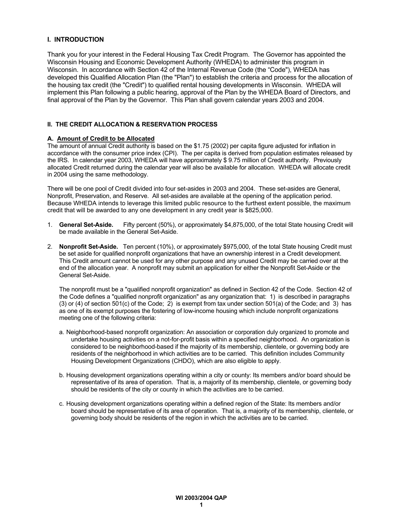#### **I. INTRODUCTION**

Thank you for your interest in the Federal Housing Tax Credit Program. The Governor has appointed the Wisconsin Housing and Economic Development Authority (WHEDA) to administer this program in Wisconsin. In accordance with Section 42 of the Internal Revenue Code (the "Code"), WHEDA has developed this Qualified Allocation Plan (the "Plan") to establish the criteria and process for the allocation of the housing tax credit (the "Credit") to qualified rental housing developments in Wisconsin. WHEDA will implement this Plan following a public hearing, approval of the Plan by the WHEDA Board of Directors, and final approval of the Plan by the Governor. This Plan shall govern calendar years 2003 and 2004.

#### **II. THE CREDIT ALLOCATION & RESERVATION PROCESS**

#### **A. Amount of Credit to be Allocated**

The amount of annual Credit authority is based on the \$1.75 (2002) per capita figure adjusted for inflation in accordance with the consumer price index (CPI). The per capita is derived from population estimates released by the IRS. In calendar year 2003, WHEDA will have approximately \$ 9.75 million of Credit authority. Previously allocated Credit returned during the calendar year will also be available for allocation. WHEDA will allocate credit in 2004 using the same methodology.

There will be one pool of Credit divided into four set-asides in 2003 and 2004. These set-asides are General, Nonprofit, Preservation, and Reserve. All set-asides are available at the opening of the application period. Because WHEDA intends to leverage this limited public resource to the furthest extent possible, the maximum credit that will be awarded to any one development in any credit year is \$825,000.

- 1. **General Set-Aside.** Fifty percent (50%), or approximately \$4,875,000, of the total State housing Credit will be made available in the General Set-Aside.
- 2. **Nonprofit Set-Aside.** Ten percent (10%), or approximately \$975,000, of the total State housing Credit must be set aside for qualified nonprofit organizations that have an ownership interest in a Credit development. This Credit amount cannot be used for any other purpose and any unused Credit may be carried over at the end of the allocation year. A nonprofit may submit an application for either the Nonprofit Set-Aside or the General Set-Aside.

The nonprofit must be a "qualified nonprofit organization" as defined in Section 42 of the Code. Section 42 of the Code defines a "qualified nonprofit organization" as any organization that: 1) is described in paragraphs (3) or (4) of section 501(c) of the Code; 2) is exempt from tax under section 501(a) of the Code; and 3) has as one of its exempt purposes the fostering of low-income housing which include nonprofit organizations meeting one of the following criteria:

- a. Neighborhood-based nonprofit organization: An association or corporation duly organized to promote and undertake housing activities on a not-for-profit basis within a specified neighborhood. An organization is considered to be neighborhood-based if the majority of its membership, clientele, or governing body are residents of the neighborhood in which activities are to be carried. This definition includes Community Housing Development Organizations (CHDO), which are also eligible to apply.
- b. Housing development organizations operating within a city or county: Its members and/or board should be representative of its area of operation. That is, a majority of its membership, clientele, or governing body should be residents of the city or county in which the activities are to be carried.
- c. Housing development organizations operating within a defined region of the State: Its members and/or board should be representative of its area of operation. That is, a majority of its membership, clientele, or governing body should be residents of the region in which the activities are to be carried.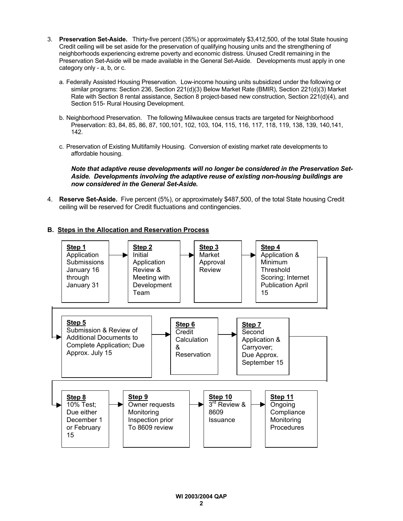- 3. **Preservation Set-Aside.** Thirty-five percent (35%) or approximately \$3,412,500, of the total State housing Credit ceiling will be set aside for the preservation of qualifying housing units and the strengthening of neighborhoods experiencing extreme poverty and economic distress. Unused Credit remaining in the Preservation Set-Aside will be made available in the General Set-Aside. Developments must apply in one category only - a, b, or c.
	- a. Federally Assisted Housing Preservation. Low-income housing units subsidized under the following or similar programs: Section 236, Section 221(d)(3) Below Market Rate (BMIR), Section 221(d)(3) Market Rate with Section 8 rental assistance, Section 8 project-based new construction, Section 221(d)(4), and Section 515- Rural Housing Development.
	- b. Neighborhood Preservation. The following Milwaukee census tracts are targeted for Neighborhood Preservation: 83, 84, 85, 86, 87, 100,101, 102, 103, 104, 115, 116, 117, 118, 119, 138, 139, 140,141, 142.
	- c. Preservation of Existing Multifamily Housing. Conversion of existing market rate developments to affordable housing.

*Note that adaptive reuse developments will no longer be considered in the Preservation Set-Aside. Developments involving the adaptive reuse of existing non-housing buildings are now considered in the General Set-Aside.*

4. **Reserve Set-Aside.** Five percent (5%), or approximately \$487,500, of the total State housing Credit ceiling will be reserved for Credit fluctuations and contingencies.

#### **B. Steps in the Allocation and Reservation Process**

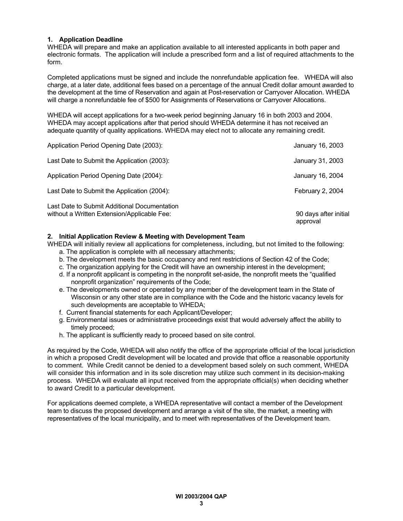#### **1. Application Deadline**

WHEDA will prepare and make an application available to all interested applicants in both paper and electronic formats. The application will include a prescribed form and a list of required attachments to the form.

Completed applications must be signed and include the nonrefundable application fee. WHEDA will also charge, at a later date, additional fees based on a percentage of the annual Credit dollar amount awarded to the development at the time of Reservation and again at Post-reservation or Carryover Allocation. WHEDA will charge a nonrefundable fee of \$500 for Assignments of Reservations or Carryover Allocations.

WHEDA will accept applications for a two-week period beginning January 16 in both 2003 and 2004. WHEDA may accept applications after that period should WHEDA determine it has not received an adequate quantity of quality applications. WHEDA may elect not to allocate any remaining credit.

| Application Period Opening Date (2003):                                                     | January 16, 2003                  |
|---------------------------------------------------------------------------------------------|-----------------------------------|
| Last Date to Submit the Application (2003):                                                 | January 31, 2003                  |
| Application Period Opening Date (2004):                                                     | January 16, 2004                  |
| Last Date to Submit the Application (2004):                                                 | February 2, 2004                  |
| Last Date to Submit Additional Documentation<br>without a Written Extension/Applicable Fee: | 90 days after initial<br>approval |

#### **2. Initial Application Review & Meeting with Development Team**

WHEDA will initially review all applications for completeness, including, but not limited to the following: a. The application is complete with all necessary attachments;

- b. The development meets the basic occupancy and rent restrictions of Section 42 of the Code;
- c. The organization applying for the Credit will have an ownership interest in the development;
- d. If a nonprofit applicant is competing in the nonprofit set-aside, the nonprofit meets the "qualified nonprofit organization" requirements of the Code;
- e. The developments owned or operated by any member of the development team in the State of Wisconsin or any other state are in compliance with the Code and the historic vacancy levels for such developments are acceptable to WHEDA;
- f. Current financial statements for each Applicant/Developer;
- g. Environmental issues or administrative proceedings exist that would adversely affect the ability to timely proceed;
- h. The applicant is sufficiently ready to proceed based on site control.

As required by the Code, WHEDA will also notify the office of the appropriate official of the local jurisdiction in which a proposed Credit development will be located and provide that office a reasonable opportunity to comment. While Credit cannot be denied to a development based solely on such comment, WHEDA will consider this information and in its sole discretion may utilize such comment in its decision-making process. WHEDA will evaluate all input received from the appropriate official(s) when deciding whether to award Credit to a particular development.

For applications deemed complete, a WHEDA representative will contact a member of the Development team to discuss the proposed development and arrange a visit of the site, the market, a meeting with representatives of the local municipality, and to meet with representatives of the Development team.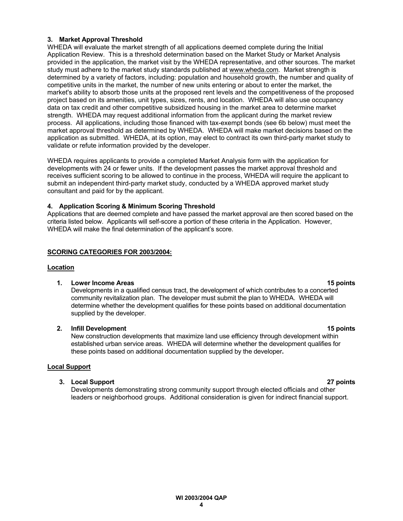#### **3. Market Approval Threshold**

WHEDA will evaluate the market strength of all applications deemed complete during the Initial Application Review. This is a threshold determination based on the Market Study or Market Analysis provided in the application, the market visit by the WHEDA representative, and other sources. The market study must adhere to the market study standards published at www.wheda.com. Market strength is determined by a variety of factors, including: population and household growth, the number and quality of competitive units in the market, the number of new units entering or about to enter the market, the market's ability to absorb those units at the proposed rent levels and the competitiveness of the proposed project based on its amenities, unit types, sizes, rents, and location. WHEDA will also use occupancy data on tax credit and other competitive subsidized housing in the market area to determine market strength. WHEDA may request additional information from the applicant during the market review process. All applications, including those financed with tax-exempt bonds (see 6b below) must meet the market approval threshold as determined by WHEDA. WHEDA will make market decisions based on the application as submitted. WHEDA, at its option, may elect to contract its own third-party market study to validate or refute information provided by the developer.

WHEDA requires applicants to provide a completed Market Analysis form with the application for developments with 24 or fewer units. If the development passes the market approval threshold and receives sufficient scoring to be allowed to continue in the process, WHEDA will require the applicant to submit an independent third-party market study, conducted by a WHEDA approved market study consultant and paid for by the applicant.

#### **4. Application Scoring & Minimum Scoring Threshold**

Applications that are deemed complete and have passed the market approval are then scored based on the criteria listed below. Applicants will self-score a portion of these criteria in the Application. However, WHEDA will make the final determination of the applicant's score.

#### **SCORING CATEGORIES FOR 2003/2004:**

#### **Location**

#### **1. Lower Income Areas 15 points** 1. **1.** Lower Income Areas 15 points

Developments in a qualified census tract, the development of which contributes to a concerted community revitalization plan. The developer must submit the plan to WHEDA. WHEDA will determine whether the development qualifies for these points based on additional documentation supplied by the developer.

#### **2. Infill Development 15 points**

New construction developments that maximize land use efficiency through development within established urban service areas. WHEDA will determine whether the development qualifies for these points based on additional documentation supplied by the developer**.**

#### **Local Support**

#### **3. Local Support 27 points**

Developments demonstrating strong community support through elected officials and other leaders or neighborhood groups. Additional consideration is given for indirect financial support.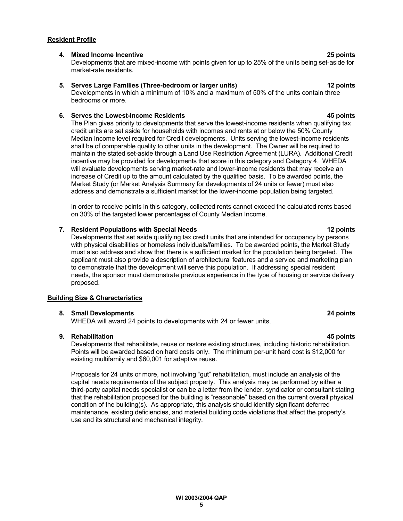#### **Resident Profile**

#### **4. Mixed Income Incentive 25 points**

Developments that are mixed-income with points given for up to 25% of the units being set-aside for market-rate residents.

#### **5. Serves Large Families (Three-bedroom or larger units) 12 points**

Developments in which a minimum of 10% and a maximum of 50% of the units contain three bedrooms or more.

#### **6. Serves the Lowest-Income Residents 45 points**

The Plan gives priority to developments that serve the lowest-income residents when qualifying tax credit units are set aside for households with incomes and rents at or below the 50% County Median Income level required for Credit developments. Units serving the lowest-income residents shall be of comparable quality to other units in the development. The Owner will be required to maintain the stated set-aside through a Land Use Restriction Agreement (LURA). Additional Credit incentive may be provided for developments that score in this category and Category 4. WHEDA will evaluate developments serving market-rate and lower-income residents that may receive an increase of Credit up to the amount calculated by the qualified basis. To be awarded points, the Market Study (or Market Analysis Summary for developments of 24 units or fewer) must also address and demonstrate a sufficient market for the lower-income population being targeted.

In order to receive points in this category, collected rents cannot exceed the calculated rents based on 30% of the targeted lower percentages of County Median Income.

#### **7. Resident Populations with Special Needs 12 points**

Developments that set aside qualifying tax credit units that are intended for occupancy by persons with physical disabilities or homeless individuals/families. To be awarded points, the Market Study must also address and show that there is a sufficient market for the population being targeted. The applicant must also provide a description of architectural features and a service and marketing plan to demonstrate that the development will serve this population. If addressing special resident needs, the sponsor must demonstrate previous experience in the type of housing or service delivery proposed.

#### **Building Size & Characteristics**

#### **8. Small Developments 24 points**

WHEDA will award 24 points to developments with 24 or fewer units.

#### **9. Rehabilitation 45 points**

Developments that rehabilitate, reuse or restore existing structures, including historic rehabilitation. Points will be awarded based on hard costs only. The minimum per-unit hard cost is \$12,000 for existing multifamily and \$60,001 for adaptive reuse.

Proposals for 24 units or more, not involving "gut" rehabilitation, must include an analysis of the capital needs requirements of the subject property. This analysis may be performed by either a third-party capital needs specialist or can be a letter from the lender, syndicator or consultant stating that the rehabilitation proposed for the building is "reasonable" based on the current overall physical condition of the building(s). As appropriate, this analysis should identify significant deferred maintenance, existing deficiencies, and material building code violations that affect the property's use and its structural and mechanical integrity.

#### **WI 2003/2004 QAP 5**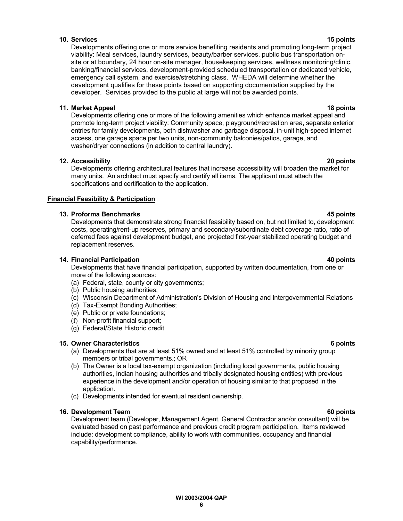### **10. Services 15 points**

Developments offering one or more service benefiting residents and promoting long-term project viability: Meal services, laundry services, beauty/barber services, public bus transportation onsite or at boundary, 24 hour on-site manager, housekeeping services, wellness monitoring/clinic, banking/financial services, development-provided scheduled transportation or dedicated vehicle, emergency call system, and exercise/stretching class. WHEDA will determine whether the development qualifies for these points based on supporting documentation supplied by the developer. Services provided to the public at large will not be awarded points.

### **11. Market Appeal 18 points**

Developments offering one or more of the following amenities which enhance market appeal and promote long-term project viability: Community space, playground/recreation area, separate exterior entries for family developments, both dishwasher and garbage disposal, in-unit high-speed internet access, one garage space per two units, non-community balconies/patios, garage, and washer/dryer connections (in addition to central laundry).

### **12. Accessibility 20 points**

Developments offering architectural features that increase accessibility will broaden the market for many units. An architect must specify and certify all items. The applicant must attach the specifications and certification to the application.

### **Financial Feasibility & Participation**

### **13. Proforma Benchmarks 45 points**

Developments that demonstrate strong financial feasibility based on, but not limited to, development costs, operating/rent-up reserves, primary and secondary/subordinate debt coverage ratio, ratio of deferred fees against development budget, and projected first-year stabilized operating budget and replacement reserves.

#### **14. Financial Participation 40 points**

Developments that have financial participation, supported by written documentation, from one or more of the following sources:

- (a) Federal, state, county or city governments;
- (b) Public housing authorities;
- (c) Wisconsin Department of Administration's Division of Housing and Intergovernmental Relations
- (d) Tax-Exempt Bonding Authorities;
- (e) Public or private foundations;
- (f) Non-profit financial support;
- (g) Federal/State Historic credit

#### **15. Owner Characteristics 6 points**

- (a) Developments that are at least 51% owned and at least 51% controlled by minority group members or tribal governments.; OR
- (b) The Owner is a local tax-exempt organization (including local governments, public housing authorities, Indian housing authorities and tribally designated housing entities) with previous experience in the development and/or operation of housing similar to that proposed in the application.
- (c) Developments intended for eventual resident ownership.

#### **16. Development Team 60 points** the set of the set of the set of the set of the set of the set of the set of the set of the set of the set of the set of the set of the set of the set of the set of the set of the set of th

Development team (Developer, Management Agent, General Contractor and/or consultant) will be evaluated based on past performance and previous credit program participation. Items reviewed include: development compliance, ability to work with communities, occupancy and financial capability/performance.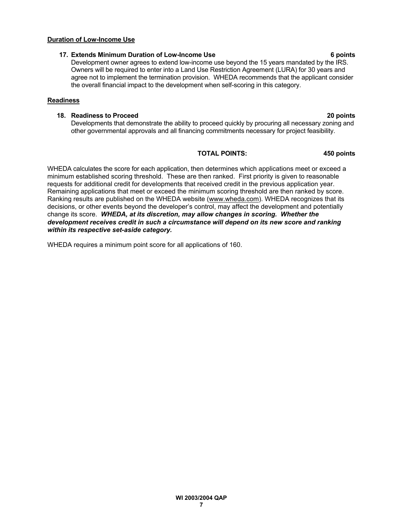**WI 2003/2004 QAP 7**

### **Duration of Low-Income Use**

### **17. Extends Minimum Duration of Low-Income Use 6 points**

Development owner agrees to extend low-income use beyond the 15 years mandated by the IRS. Owners will be required to enter into a Land Use Restriction Agreement (LURA) for 30 years and agree not to implement the termination provision. WHEDA recommends that the applicant consider the overall financial impact to the development when self-scoring in this category.

### **Readiness**

### **18. Readiness to Proceed 20 points**

Developments that demonstrate the ability to proceed quickly by procuring all necessary zoning and other governmental approvals and all financing commitments necessary for project feasibility.

### **TOTAL POINTS: 450 points**

WHEDA calculates the score for each application, then determines which applications meet or exceed a minimum established scoring threshold. These are then ranked. First priority is given to reasonable requests for additional credit for developments that received credit in the previous application year. Remaining applications that meet or exceed the minimum scoring threshold are then ranked by score. Ranking results are published on the WHEDA website (www.wheda.com). WHEDA recognizes that its decisions, or other events beyond the developer's control, may affect the development and potentially change its score. *WHEDA, at its discretion, may allow changes in scoring. Whether the development receives credit in such a circumstance will depend on its new score and ranking within its respective set-aside category.*

WHEDA requires a minimum point score for all applications of 160.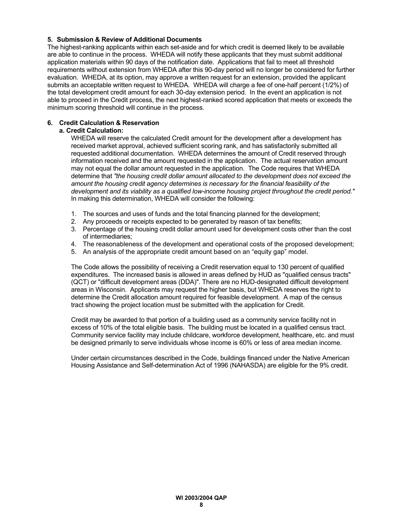#### **5. Submission & Review of Additional Documents**

The highest-ranking applicants within each set-aside and for which credit is deemed likely to be available are able to continue in the process. WHEDA will notify these applicants that they must submit additional application materials within 90 days of the notification date. Applications that fail to meet all threshold requirements without extension from WHEDA after this 90-day period will no longer be considered for further evaluation. WHEDA, at its option, may approve a written request for an extension, provided the applicant submits an acceptable written request to WHEDA. WHEDA will charge a fee of one-half percent (1/2%) of the total development credit amount for each 30-day extension period. In the event an application is not able to proceed in the Credit process, the next highest-ranked scored application that meets or exceeds the minimum scoring threshold will continue in the process.

#### **6. Credit Calculation & Reservation**

#### **a. Credit Calculation:**

WHEDA will reserve the calculated Credit amount for the development after a development has received market approval, achieved sufficient scoring rank, and has satisfactorily submitted all requested additional documentation. WHEDA determines the amount of Credit reserved through information received and the amount requested in the application. The actual reservation amount may not equal the dollar amount requested in the application. The Code requires that WHEDA determine that *"the housing credit dollar amount allocated to the development does not exceed the amount the housing credit agency determines is necessary for the financial feasibility of the development and its viability as a qualified low-income housing project throughout the credit period."* In making this determination, WHEDA will consider the following:

- 1. The sources and uses of funds and the total financing planned for the development;
- 2. Any proceeds or receipts expected to be generated by reason of tax benefits;
- 3. Percentage of the housing credit dollar amount used for development costs other than the cost of intermediaries;
- 4. The reasonableness of the development and operational costs of the proposed development;
- 5. An analysis of the appropriate credit amount based on an "equity gap" model.

The Code allows the possibility of receiving a Credit reservation equal to 130 percent of qualified expenditures. The increased basis is allowed in areas defined by HUD as "qualified census tracts" (QCT) or "difficult development areas (DDA)". There are no HUD-designated difficult development areas in Wisconsin. Applicants may request the higher basis, but WHEDA reserves the right to determine the Credit allocation amount required for feasible development. A map of the census tract showing the project location must be submitted with the application for Credit.

Credit may be awarded to that portion of a building used as a community service facility not in excess of 10% of the total eligible basis. The building must be located in a qualified census tract. Community service facility may include childcare, workforce development, healthcare, etc. and must be designed primarily to serve individuals whose income is 60% or less of area median income.

Under certain circumstances described in the Code, buildings financed under the Native American Housing Assistance and Self-determination Act of 1996 (NAHASDA) are eligible for the 9% credit.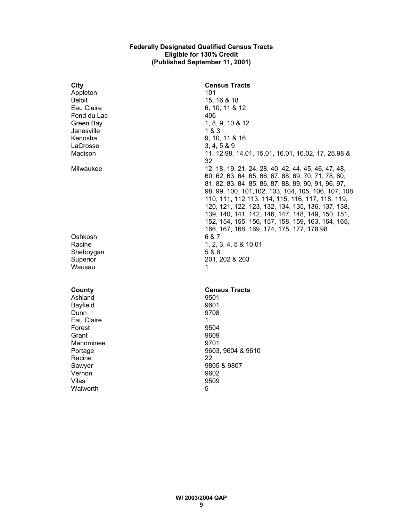#### **Federally Designated Qualified Census Tracts Eligible for 130% Credit (Published September 11, 2001)**

| <b>City</b>     | <b>Census Tracts</b>                                     |
|-----------------|----------------------------------------------------------|
| Appleton        | 101                                                      |
| <b>Beloit</b>   | 15, 16 & 18                                              |
| Eau Claire      | 6, 10, 11 & 12                                           |
| Fond du Lac     | 406                                                      |
| Green Bay       | 1, 8, 9, 10 & 12                                         |
| Janesville      | 1 & 3                                                    |
| Kenosha         | 9, 10, 11 & 16                                           |
| LaCrosse        | 3, 4, 5 & 89                                             |
| Madison         | 11, 12.98, 14.01, 15.01, 16.01, 16.02, 17, 25.98 &<br>32 |
| Milwaukee       | 12, 18, 19, 21, 24, 28, 40, 42, 44, 45, 46, 47, 48,      |
|                 | 60, 62, 63, 64, 65, 66, 67, 68, 69, 70, 71, 78, 80,      |
|                 | 81, 82, 83, 84, 85, 86, 87, 88, 89, 90, 91, 96, 97,      |
|                 | 98, 99, 100, 101, 102, 103, 104, 105, 106, 107, 108,     |
|                 | 110, 111, 112, 113, 114, 115, 116, 117, 118, 119,        |
|                 | 120, 121, 122, 123, 132, 134, 135, 136, 137, 138,        |
|                 | 139, 140, 141, 142, 146, 147, 148, 149, 150, 151,        |
|                 | 152, 154, 155, 156, 157, 158, 159, 163, 164, 165,        |
|                 | 166, 167, 168, 169, 174, 175, 177, 178.98                |
| Oshkosh         | 6 & 7                                                    |
| Racine          | 1, 2, 3, 4, 5 & 10.01                                    |
| Sheboygan       | 5&6                                                      |
| Superior        | 201, 202 & 203                                           |
| Wausau          | 1                                                        |
| County          | <b>Census Tracts</b>                                     |
| Ashland         | 9501                                                     |
| <b>Bayfield</b> | 9601                                                     |
| Dunn            | 9708                                                     |
| Eau Claire      | 1                                                        |
| Forest          | 9504                                                     |
| Grant           | 9609                                                     |
| Menominee       | 9701                                                     |
| Portage         | 9603, 9604 & 9610                                        |
| Racine          | 22                                                       |
| Sawyer          | 9805 & 9807                                              |
| Vernon          | 9602                                                     |
| Vilas           | 9509                                                     |
| Walworth        | 5                                                        |
|                 |                                                          |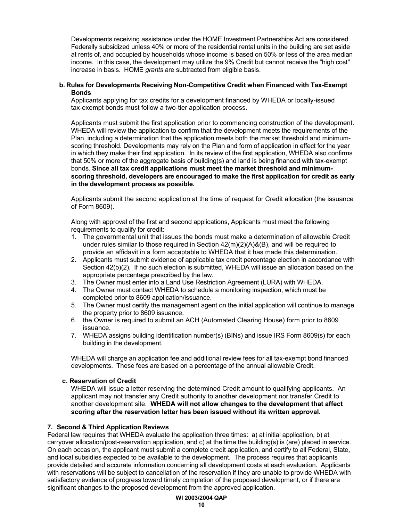Developments receiving assistance under the HOME Investment Partnerships Act are considered Federally subsidized unless 40% or more of the residential rental units in the building are set aside at rents of, and occupied by households whose income is based on 50% or less of the area median income. In this case, the development may utilize the 9% Credit but cannot receive the "high cost" increase in basis. HOME *grants* are subtracted from eligible basis.

#### **b. Rules for Developments Receiving Non-Competitive Credit when Financed with Tax-Exempt Bonds**

Applicants applying for tax credits for a development financed by WHEDA or locally-issued tax-exempt bonds must follow a two-tier application process.

Applicants must submit the first application prior to commencing construction of the development. WHEDA will review the application to confirm that the development meets the requirements of the Plan, including a determination that the application meets both the market threshold and minimumscoring threshold. Developments may rely on the Plan and form of application in effect for the year in which they make their first application. In its review of the first application, WHEDA also confirms that 50% or more of the aggregate basis of building(s) and land is being financed with tax-exempt bonds. **Since all tax credit applications must meet the market threshold and minimumscoring threshold, developers are encouraged to make the first application for credit as early in the development process as possible.**

Applicants submit the second application at the time of request for Credit allocation (the issuance of Form 8609).

Along with approval of the first and second applications, Applicants must meet the following requirements to qualify for credit:

- 1. The governmental unit that issues the bonds must make a determination of allowable Credit under rules similar to those required in Section 42(m)(2)(A)&(B), and will be required to provide an affidavit in a form acceptable to WHEDA that it has made this determination.
- 2. Applicants must submit evidence of applicable tax credit percentage election in accordance with Section 42(b)(2). If no such election is submitted, WHEDA will issue an allocation based on the appropriate percentage prescribed by the law.
- 3. The Owner must enter into a Land Use Restriction Agreement (LURA) with WHEDA.
- 4. The Owner must contact WHEDA to schedule a monitoring inspection, which must be completed prior to 8609 application/issuance.
- 5. The Owner must certify the management agent on the initial application will continue to manage the property prior to 8609 issuance.
- 6. the Owner is required to submit an ACH (Automated Clearing House) form prior to 8609 issuance.
- 7. WHEDA assigns building identification number(s) (BINs) and issue IRS Form 8609(s) for each building in the development.

WHEDA will charge an application fee and additional review fees for all tax-exempt bond financed developments. These fees are based on a percentage of the annual allowable Credit.

#### **c. Reservation of Credit**

WHEDA will issue a letter reserving the determined Credit amount to qualifying applicants. An applicant may not transfer any Credit authority to another development nor transfer Credit to another development site. **WHEDA will not allow changes to the development that affect scoring after the reservation letter has been issued without its written approval.**

#### **7. Second & Third Application Reviews**

Federal law requires that WHEDA evaluate the application three times: a) at initial application, b) at carryover allocation/post-reservation application, and c) at the time the building(s) is (are) placed in service. On each occasion, the applicant must submit a complete credit application, and certify to all Federal, State, and local subsidies expected to be available to the development. The process requires that applicants provide detailed and accurate information concerning all development costs at each evaluation. Applicants with reservations will be subject to cancellation of the reservation if they are unable to provide WHEDA with satisfactory evidence of progress toward timely completion of the proposed development, or if there are significant changes to the proposed development from the approved application.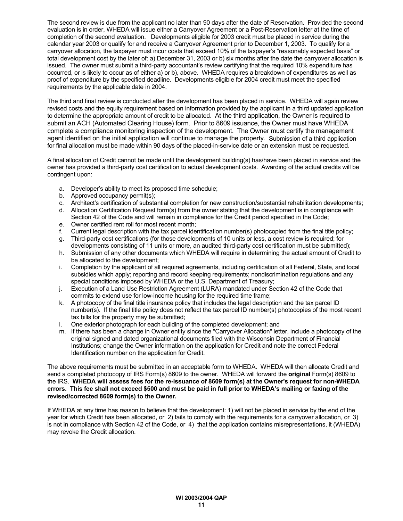The second review is due from the applicant no later than 90 days after the date of Reservation. Provided the second evaluation is in order, WHEDA will issue either a Carryover Agreement or a Post-Reservation letter at the time of completion of the second evaluation. Developments eligible for 2003 credit must be placed in service during the calendar year 2003 or qualify for and receive a Carryover Agreement prior to December 1, 2003. To qualify for a carryover allocation, the taxpayer must incur costs that exceed 10% of the taxpayer's "reasonably expected basis" or total development cost by the later of: a) December 31, 2003 or b) six months after the date the carryover allocation is issued. The owner must submit a third-party accountant's review certifying that the required 10% expenditure has occurred, or is likely to occur as of either a) or b), above. WHEDA requires a breakdown of expenditures as well as proof of expenditure by the specified deadline. Developments eligible for 2004 credit must meet the specified requirements by the applicable date in 2004.

The third and final review is conducted after the development has been placed in service. WHEDA will again review revised costs and the equity requirement based on information provided by the applicant in a third updated application to determine the appropriate amount of credit to be allocated. At the third application, the Owner is required to submit an ACH (Automated Clearing House) form. Prior to 8609 issuance, the Owner must have WHEDA complete a compliance monitoring inspection of the development. The Owner must certify the management agent identified on the initial application will continue to manage the property. Submission of a third application for final allocation must be made within 90 days of the placed-in-service date or an extension must be requested.

A final allocation of Credit cannot be made until the development building(s) has/have been placed in service and the owner has provided a third-party cost certification to actual development costs. Awarding of the actual credits will be contingent upon:

- a. Developer's ability to meet its proposed time schedule;
- b. Approved occupancy permit(s);
- c. Architect's certification of substantial completion for new construction/substantial rehabilitation developments;
- d. Allocation Certification Request form(s) from the owner stating that the development is in compliance with Section 42 of the Code and will remain in compliance for the Credit period specified in the Code;
- e. Owner certified rent roll for most recent month;
- f. Current legal description with the tax parcel identification number(s) photocopied from the final title policy;
- g. Third-party cost certifications (for those developments of 10 units or less, a cost review is required; for developments consisting of 11 units or more, an audited third-party cost certification must be submitted);
- h. Submission of any other documents which WHEDA will require in determining the actual amount of Credit to be allocated to the development;
- i. Completion by the applicant of all required agreements, including certification of all Federal, State, and local subsidies which apply; reporting and record keeping requirements; nondiscrimination regulations and any special conditions imposed by WHEDA or the U.S. Department of Treasury;
- j. Execution of a Land Use Restriction Agreement (LURA) mandated under Section 42 of the Code that commits to extend use for low-income housing for the required time frame;
- k. A photocopy of the final title insurance policy that includes the legal description and the tax parcel ID number(s). If the final title policy does not reflect the tax parcel ID number(s) photocopies of the most recent tax bills for the property may be submitted;
- l. One exterior photograph for each building of the completed development; and
- m. If there has been a change in Owner entity since the "Carryover Allocation" letter, include a photocopy of the original signed and dated organizational documents filed with the Wisconsin Department of Financial Institutions; change the Owner information on the application for Credit and note the correct Federal Identification number on the application for Credit.

The above requirements must be submitted in an acceptable form to WHEDA. WHEDA will then allocate Credit and send a completed photocopy of IRS Form(s) 8609 to the owner. WHEDA will forward the **original** Form(s) 8609 to the IRS. **WHEDA will assess fees for the re-issuance of 8609 form(s) at the Owner's request for non-WHEDA errors. This fee shall not exceed \$500 and must be paid in full prior to WHEDA's mailing or faxing of the revised/corrected 8609 form(s) to the Owner.**

If WHEDA at any time has reason to believe that the development: 1) will not be placed in service by the end of the year for which Credit has been allocated, or 2) fails to comply with the requirements for a carryover allocation, or 3) is not in compliance with Section 42 of the Code, or 4) that the application contains misrepresentations, it (WHEDA) may revoke the Credit allocation.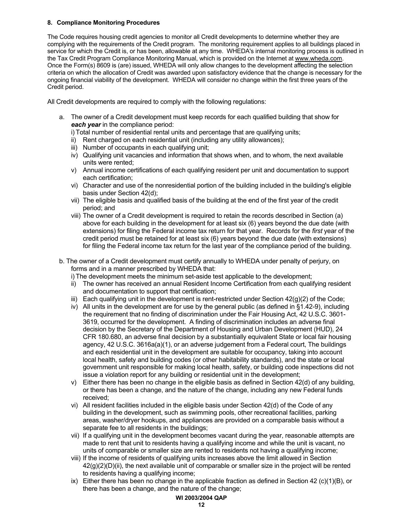#### **8. Compliance Monitoring Procedures**

The Code requires housing credit agencies to monitor all Credit developments to determine whether they are complying with the requirements of the Credit program. The monitoring requirement applies to all buildings placed in service for which the Credit is, or has been, allowable at any time. WHEDA's internal monitoring process is outlined in the Tax Credit Program Compliance Monitoring Manual, which is provided on the Internet at www.wheda.com. Once the Form(s) 8609 is (are) issued, WHEDA will only allow changes to the development affecting the selection criteria on which the allocation of Credit was awarded upon satisfactory evidence that the change is necessary for the ongoing financial viability of the development. WHEDA will consider no change within the first three years of the Credit period.

All Credit developments are required to comply with the following regulations:

a. The owner of a Credit development must keep records for each qualified building that show for *each year* in the compliance period:

i) Total number of residential rental units and percentage that are qualifying units;

- ii) Rent charged on each residential unit (including any utility allowances);
- iii) Number of occupants in each qualifying unit;
- iv) Qualifying unit vacancies and information that shows when, and to whom, the next available units were rented;
- v) Annual income certifications of each qualifying resident per unit and documentation to support each certification;
- vi) Character and use of the nonresidential portion of the building included in the building's eligible basis under Section 42(d);
- vii) The eligible basis and qualified basis of the building at the end of the first year of the credit period; and
- viii) The owner of a Credit development is required to retain the records described in Section (a) above for each building in the development for at least six (6) years beyond the due date (with extensions) for filing the Federal income tax return for that year. Records for the *first* year of the credit period must be retained for at least six (6) years beyond the due date (with extensions) for filing the Federal income tax return for the last year of the compliance period of the building.
- b. The owner of a Credit development must certify annually to WHEDA under penalty of perjury, on forms and in a manner prescribed by WHEDA that:

i) The development meets the minimum set-aside test applicable to the development;

- ii) The owner has received an annual Resident Income Certification from each qualifying resident and documentation to support that certification;
- iii) Each qualifying unit in the development is rent-restricted under Section  $42(q)(2)$  of the Code;
- iv) All units in the development are for use by the general public (as defined in §1.42-9), including the requirement that no finding of discrimination under the Fair Housing Act, 42 U.S.C. 3601- 3619, occurred for the development. A finding of discrimination includes an adverse final decision by the Secretary of the Department of Housing and Urban Development (HUD), 24 CFR 180.680, an adverse final decision by a substantially equivalent State or local fair housing agency, 42 U.S.C. 3616a(a)(1), or an adverse judgement from a Federal court, The buildings and each residential unit in the development are suitable for occupancy, taking into account local health, safety and building codes (or other habitability standards), and the state or local government unit responsible for making local health, safety, or building code inspections did not issue a violation report for any building or residential unit in the development;
- v) Either there has been no change in the eligible basis as defined in Section 42(d) of any building, or there has been a change, and the nature of the change, including any new Federal funds received;
- vi) All resident facilities included in the eligible basis under Section 42(d) of the Code of any building in the development, such as swimming pools, other recreational facilities, parking areas, washer/dryer hookups, and appliances are provided on a comparable basis without a separate fee to all residents in the buildings;
- vii) If a qualifying unit in the development becomes vacant during the year, reasonable attempts are made to rent that unit to residents having a qualifying income and while the unit is vacant, no units of comparable or smaller size are rented to residents not having a qualifying income;
- viii) If the income of residents of qualifying units increases above the limit allowed in Section  $42(g)(2)(D)(ii)$ , the next available unit of comparable or smaller size in the project will be rented to residents having a qualifying income;
- ix) Either there has been no change in the applicable fraction as defined in Section 42 (c)(1)(B), or there has been a change, and the nature of the change;

#### **WI 2003/2004 QAP**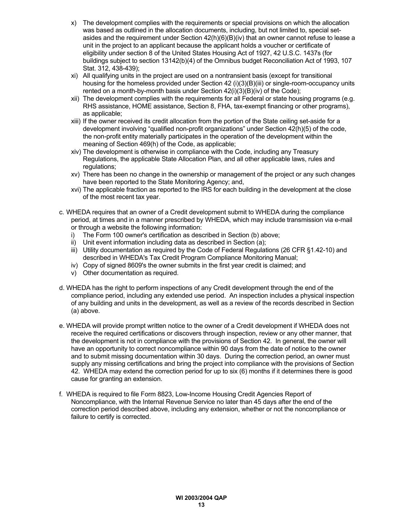- x) The development complies with the requirements or special provisions on which the allocation was based as outlined in the allocation documents, including, but not limited to, special setasides and the requirement under Section 42(h)(6)(B)(iv) that an owner cannot refuse to lease a unit in the project to an applicant because the applicant holds a voucher or certificate of eligibility under section 8 of the United States Housing Act of 1927, 42 U.S.C. 1437s (for buildings subject to section 13142(b)(4) of the Omnibus budget Reconciliation Act of 1993, 107 Stat. 312, 438-439);
- xi) All qualifying units in the project are used on a nontransient basis (except for transitional housing for the homeless provided under Section 42 (i)(3)(B)(iii) or single-room-occupancy units rented on a month-by-month basis under Section 42(i)(3)(B)(iv) of the Code);
- xii) The development complies with the requirements for all Federal or state housing programs (e.g. RHS assistance, HOME assistance, Section 8, FHA, tax-exempt financing or other programs), as applicable;
- xiii) If the owner received its credit allocation from the portion of the State ceiling set-aside for a development involving "qualified non-profit organizations" under Section 42(h)(5) of the code, the non-profit entity materially participates in the operation of the development within the meaning of Section 469(h) of the Code, as applicable;
- xiv) The development is otherwise in compliance with the Code, including any Treasury Regulations, the applicable State Allocation Plan, and all other applicable laws, rules and regulations;
- xv) There has been no change in the ownership or management of the project or any such changes have been reported to the State Monitoring Agency; and,
- xvi) The applicable fraction as reported to the IRS for each building in the development at the close of the most recent tax year.
- c. WHEDA requires that an owner of a Credit development submit to WHEDA during the compliance period, at times and in a manner prescribed by WHEDA, which may include transmission via e-mail or through a website the following information:
	- i) The Form 100 owner's certification as described in Section (b) above;
	- ii) Unit event information including data as described in Section (a);
	- iii) Utility documentation as required by the Code of Federal Regulations (26 CFR §1.42-10) and described in WHEDA's Tax Credit Program Compliance Monitoring Manual;
	- iv) Copy of signed 8609's the owner submits in the first year credit is claimed; and
	- v) Other documentation as required.
- d. WHEDA has the right to perform inspections of any Credit development through the end of the compliance period, including any extended use period. An inspection includes a physical inspection of any building and units in the development, as well as a review of the records described in Section (a) above.
- e. WHEDA will provide prompt written notice to the owner of a Credit development if WHEDA does not receive the required certifications or discovers through inspection, review or any other manner, that the development is not in compliance with the provisions of Section 42. In general, the owner will have an opportunity to correct noncompliance within 90 days from the date of notice to the owner and to submit missing documentation within 30 days. During the correction period, an owner must supply any missing certifications and bring the project into compliance with the provisions of Section 42. WHEDA may extend the correction period for up to six (6) months if it determines there is good cause for granting an extension.
- f. WHEDA is required to file Form 8823, Low-Income Housing Credit Agencies Report of Noncompliance, with the Internal Revenue Service no later than 45 days after the end of the correction period described above, including any extension, whether or not the noncompliance or failure to certify is corrected.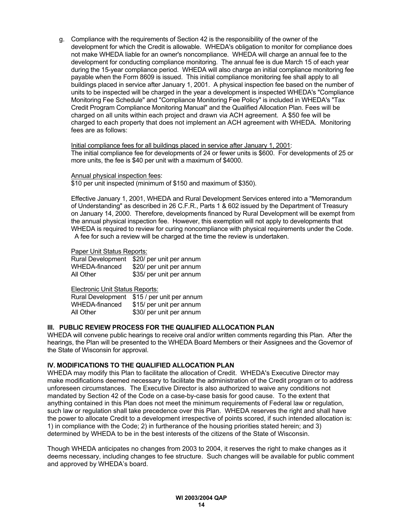g. Compliance with the requirements of Section 42 is the responsibility of the owner of the development for which the Credit is allowable. WHEDA's obligation to monitor for compliance does not make WHEDA liable for an owner's noncompliance. WHEDA will charge an annual fee to the development for conducting compliance monitoring. The annual fee is due March 15 of each year during the 15-year compliance period. WHEDA will also charge an initial compliance monitoring fee payable when the Form 8609 is issued. This initial compliance monitoring fee shall apply to all buildings placed in service after January 1, 2001. A physical inspection fee based on the number of units to be inspected will be charged in the year a development is inspected WHEDA's "Compliance Monitoring Fee Schedule" and "Compliance Monitoring Fee Policy" is included in WHEDA's "Tax Credit Program Compliance Monitoring Manual" and the Qualified Allocation Plan. Fees will be charged on all units within each project and drawn via ACH agreement. A \$50 fee will be charged to each property that does not implement an ACH agreement with WHEDA. Monitoring fees are as follows:

Initial compliance fees for all buildings placed in service after January 1, 2001: The initial compliance fee for developments of 24 or fewer units is \$600. For developments of 25 or more units, the fee is \$40 per unit with a maximum of \$4000.

#### Annual physical inspection fees:

\$10 per unit inspected (minimum of \$150 and maximum of \$350).

Effective January 1, 2001, WHEDA and Rural Development Services entered into a "Memorandum of Understanding" as described in 26 C.F.R., Parts 1 & 602 issued by the Department of Treasury on January 14, 2000. Therefore, developments financed by Rural Development will be exempt from the annual physical inspection fee. However, this exemption will not apply to developments that WHEDA is required to review for curing noncompliance with physical requirements under the Code. A fee for such a review will be charged at the time the review is undertaken.

#### Paper Unit Status Reports:

| <b>Rural Development</b> | \$20/ per unit per annum |
|--------------------------|--------------------------|
| WHEDA-financed           | \$20/ per unit per annum |
| All Other                | \$35/ per unit per annum |

Electronic Unit Status Reports:

Rural Development \$15 / per unit per annum WHEDA-financed \$15/ per unit per annum All Other \$30/ per unit per annum

#### **III. PUBLIC REVIEW PROCESS FOR THE QUALIFIED ALLOCATION PLAN**

WHEDA will convene public hearings to receive oral and/or written comments regarding this Plan. After the hearings, the Plan will be presented to the WHEDA Board Members or their Assignees and the Governor of the State of Wisconsin for approval.

#### **IV. MODIFICATIONS TO THE QUALIFIED ALLOCATION PLAN**

WHEDA may modify this Plan to facilitate the allocation of Credit. WHEDA's Executive Director may make modifications deemed necessary to facilitate the administration of the Credit program or to address unforeseen circumstances. The Executive Director is also authorized to waive any conditions not mandated by Section 42 of the Code on a case-by-case basis for good cause. To the extent that anything contained in this Plan does not meet the minimum requirements of Federal law or regulation, such law or regulation shall take precedence over this Plan. WHEDA reserves the right and shall have the power to allocate Credit to a development irrespective of points scored, if such intended allocation is: 1) in compliance with the Code; 2) in furtherance of the housing priorities stated herein; and 3) determined by WHEDA to be in the best interests of the citizens of the State of Wisconsin.

Though WHEDA anticipates no changes from 2003 to 2004, it reserves the right to make changes as it deems necessary, including changes to fee structure. Such changes will be available for public comment and approved by WHEDA's board.